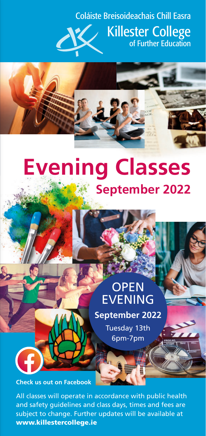# Coláiste Breisoideachais Chill Easra



[Killester College](http://www.killestercollege.ie) of Further Education



# **Evening Classes September 2022**

# **OPEN** EVENING **September 2022** Tuesday 13th 6pm-7pm

**[Check us out on Facebook](https://www.facebook.com/KillesterCollege)**

All classes will operate in accordance with public health and safety guidelines and class days, times and fees are subject to change. Further updates will be available at [www.killestercollege.ie](http://www.killestercollege.ie)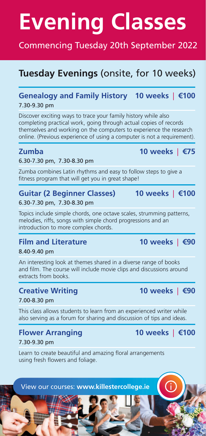# **Evening Classes**

## Commencing Tuesday 20th September 2022

# **Tuesday Evenings** (onsite, for 10 weeks)

#### **Genealogy and Family History 10 weeks** | **€100** 7.30-9.30 pm

Discover exciting ways to trace your family history while also completing practical work, going through actual copies of records themselves and working on the computers to experience the research online. (Previous experience of using a computer is not a requirement).

#### 6.30-7.30 pm, 7.30-8.30 pm

Zumba combines Latin rhythms and easy to follow steps to give a fitness program that will get you in great shape!

#### **Guitar (2 Beginner Classes) 10 weeks** | **€100**

#### 6.30-7.30 pm, 7.30-8.30 pm

Topics include simple chords, one octave scales, strumming patterns, melodies, riffs, songs with simple chord progressions and an introduction to more complex chords.

## **Film and Literature 10 weeks** | **€90**

8.40-9.40 pm

An interesting look at themes shared in a diverse range of books and film. The course will include movie clips and discussions around extracts from books.

### **Creative Writing 10 weeks** | **€90**

#### 7.00-8.30 pm

This class allows students to learn from an experienced writer while also serving as a forum for sharing and discussion of tips and ideas.

## **Flower Arranging 10 weeks** | **€100**

7.30-9.30 pm

Learn to create beautiful and amazing floral arrangements using fresh flowers and foliage.



## **Zumba 10 weeks** | **€75**

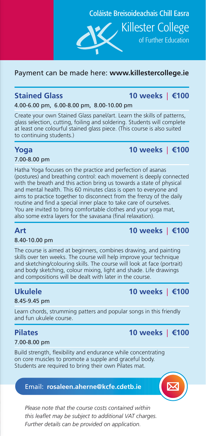Coláiste Breisoideachais Chill Easra

of Further Education

[Killester College](http://www.killestercollege.ie)

#### Payment can be made here: **[www.killestercollege.ie](http://www.killestercollege.ie)**

#### **Stained Glass 10 weeks** | **€100**

4.00-6.00 pm, 6.00-8.00 pm, 8.00-10.00 pm

Create your own Stained Glass panel/art. Learn the skills of patterns, glass selection, cutting, foiling and soldering. Students will complete at least one colourful stained glass piece. (This course is also suited to continuing students.)

## **Yoga 10 weeks** | **€100**

#### 7.00-8.00 pm

Hatha Yoga focuses on the practice and perfection of asanas (postures) and breathing control: each movement is deeply connected with the breath and this action bring us towards a state of physical and mental health. This 60 minutes class is open to everyone and aims to practice together to disconnect from the frenzy of the daily routine and find a special inner place to take care of ourselves. You are invited to bring comfortable clothes and your yoga mat, also some extra layers for the savasana (final relaxation).

## **Art 10 weeks** | **€100**

#### 8.40-10.00 pm

The course is aimed at beginners, combines drawing, and painting skills over ten weeks. The course will help improve your technique and sketching/colouring skills. The course will look at face (portrait) and body sketching, colour mixing, light and shade. Life drawings and compositions will be dealt with later in the course.

### **Ukulele 10 weeks** | **€100**

#### 8.45-9.45 pm

Learn chords, strumming patters and popular songs in this friendly and fun ukulele course.

#### **Pilates 10 weeks** | **€100**

#### 7.00-8.00 pm

Build strength, flexibility and endurance while concentrating on core muscles to promote a supple and graceful body. Students are required to bring their own Pilates mat.

#### Email: **[rosaleen.aherne@kcfe.cdetb.ie](mailto:rosaleen.aherne%40kcfe.cdetb.ie?subject=)**



*Please note that the course costs contained within this leaflet may be subject to additional VAT charges. Further details can be provided on application.*